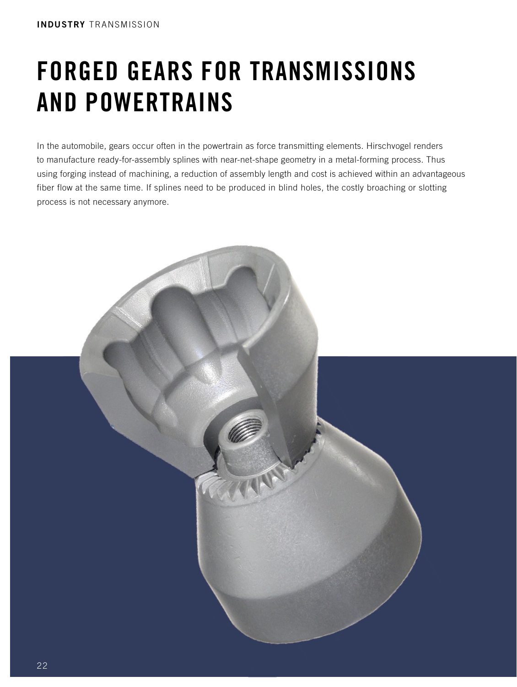# FORGED GEARS FOR TRANSMISSIONS AND POWERTRAINS

In the automobile, gears occur often in the powertrain as force transmitting elements. Hirschvogel renders to manufacture ready-for-assembly splines with near-net-shape geometry in a metal-forming process. Thus using forging instead of machining, a reduction of assembly length and cost is achieved within an advantageous fiber flow at the same time. If splines need to be produced in blind holes, the costly broaching or slotting process is not necessary anymore.

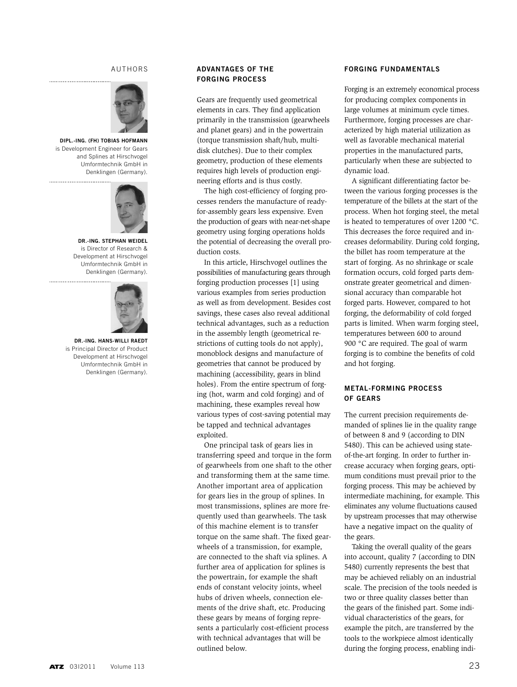#### autHorS



Dipl.-Ing. (FH) Tobias Hofmann is Development Engineer for Gears and Splines at Hirschvogel Umformtechnik GmbH in Denklingen (Germany).

..............................



Dr.-Ing. Stephan Weidel is Director of Research & Development at Hirschvogel Umformtechnik GmbH in Denklingen (Germany).



Dr.-Ing. Hans-Willi Raedt is Principal Director of Product Development at Hirschvogel Umformtechnik GmbH in Denklingen (Germany).

## Advantages of the Forging Process

Gears are frequently used geometrical elements in cars. They find application primarily in the transmission (gearwheels and planet gears) and in the powertrain (torque transmission shaft/hub, multidisk clutches). Due to their complex geometry, production of these elements requires high levels of production engineering efforts and is thus costly.

The high cost-efficiency of forging processes renders the manufacture of readyfor-assembly gears less expensive. Even the production of gears with near-net-shape geometry using forging operations holds the potential of decreasing the overall production costs.

In this article, Hirschvogel outlines the possibilities of manufacturing gears through forging production processes [1] using various examples from series production as well as from development. Besides cost savings, these cases also reveal additional technical advantages, such as a reduction in the assembly length (geometrical restrictions of cutting tools do not apply), monoblock designs and manufacture of geometries that cannot be produced by machining (accessibility, gears in blind holes). From the entire spectrum of forging (hot, warm and cold forging) and of machining, these examples reveal how various types of cost-saving potential may be tapped and technical advantages exploited.

One principal task of gears lies in transferring speed and torque in the form of gearwheels from one shaft to the other and transforming them at the same time. Another important area of application for gears lies in the group of splines. In most transmissions, splines are more frequently used than gearwheels. The task of this machine element is to transfer torque on the same shaft. The fixed gearwheels of a transmission, for example, are connected to the shaft via splines. A further area of application for splines is the powertrain, for example the shaft ends of constant velocity joints, wheel hubs of driven wheels, connection elements of the drive shaft, etc. Producing these gears by means of forging represents a particularly cost-efficient process with technical advantages that will be outlined below.

#### Forging Fundamentals

Forging is an extremely economical process for producing complex components in large volumes at minimum cycle times. Furthermore, forging processes are characterized by high material utilization as well as favorable mechanical material properties in the manufactured parts, particularly when these are subjected to dynamic load.

A significant differentiating factor be tween the various forging processes is the temperature of the billets at the start of the process. When hot forging steel, the metal is heated to temperatures of over 1200 °C. This decreases the force required and increases deformability. During cold forging, the billet has room temperature at the start of forging. As no shrinkage or scale formation occurs, cold forged parts demonstrate greater geometrical and dimensional accuracy than comparable hot forged parts. However, compared to hot forging, the deformability of cold forged parts is limited. When warm forging steel, temperatures between 600 to around 900 °C are required. The goal of warm forging is to combine the benefits of cold and hot forging.

## Metal-forming Process of Gears

The current precision requirements demanded of splines lie in the quality range of between 8 and 9 (according to DIN 5480). This can be achieved using stateof-the-art forging. In order to further increase accuracy when forging gears, optimum conditions must prevail prior to the forging process. This may be achieved by intermediate machining, for example. This eliminates any volume fluctuations caused by upstream processes that may otherwise have a negative impact on the quality of the gears.

Taking the overall quality of the gears into account, quality 7 (according to DIN 5480) currently represents the best that may be achieved reliably on an industrial scale. The precision of the tools needed is two or three quality classes better than the gears of the finished part. Some individual characteristics of the gears, for example the pitch, are transferred by the tools to the workpiece almost identically during the forging process, enabling indi-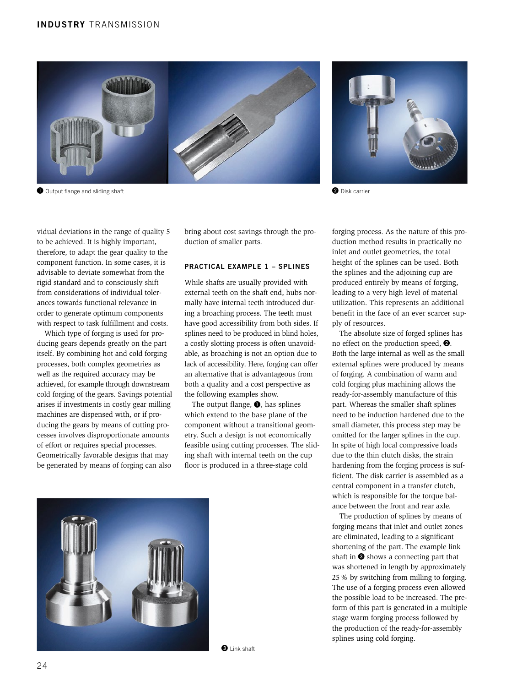

❶ Output flange and sliding shaft ❷ Disk carrier



vidual deviations in the range of quality 5 to be achieved. It is highly important, therefore, to adapt the gear quality to the component function. In some cases, it is advisable to deviate somewhat from the rigid standard and to consciously shift from considerations of individual tolerances towards functional relevance in order to generate optimum components with respect to task fulfillment and costs.

Which type of forging is used for producing gears depends greatly on the part itself. By combining hot and cold forging processes, both complex geometries as well as the required accuracy may be achieved, for example through downstream cold forging of the gears. Savings potential arises if investments in costly gear milling machines are dispensed with, or if producing the gears by means of cutting processes involves disproportionate amounts of effort or requires special processes. Geometrically favorable designs that may be generated by means of forging can also bring about cost savings through the production of smaller parts.

# Practical Example 1 – Splines

While shafts are usually provided with external teeth on the shaft end, hubs normally have internal teeth introduced during a broaching process. The teeth must have good accessibility from both sides. If splines need to be produced in blind holes, a costly slotting process is often unavoidable, as broaching is not an option due to lack of accessibility. Here, forging can offer an alternative that is advantageous from both a quality and a cost perspective as the following examples show.

The output flange,  $\bullet$ , has splines which extend to the base plane of the component without a transitional geometry. Such a design is not economically feasible using cutting processes. The sliding shaft with internal teeth on the cup floor is produced in a three-stage cold

forging process. As the nature of this production method results in practically no inlet and outlet geometries, the total height of the splines can be used. Both the splines and the adjoining cup are produced entirely by means of forging, leading to a very high level of material utilization. This represents an additional benefit in the face of an ever scarcer supply of resources.

The absolute size of forged splines has no effect on the production speed, ❷. Both the large internal as well as the small external splines were produced by means of forging. A combination of warm and cold forging plus machining allows the ready-for-assembly manufacture of this part. Whereas the smaller shaft splines need to be induction hardened due to the small diameter, this process step may be omitted for the larger splines in the cup. In spite of high local compressive loads due to the thin clutch disks, the strain hardening from the forging process is sufficient. The disk carrier is assembled as a central component in a transfer clutch, which is responsible for the torque balance between the front and rear axle.

The production of splines by means of forging means that inlet and outlet zones are eliminated, leading to a significant shortening of the part. The example link shaft in  $\bigcirc$  shows a connecting part that was shortened in length by approximately 25% by switching from milling to forging. The use of a forging process even allowed the possible load to be increased. The preform of this part is generated in a multiple stage warm forging process followed by the production of the ready-for-assembly splines using cold forging.